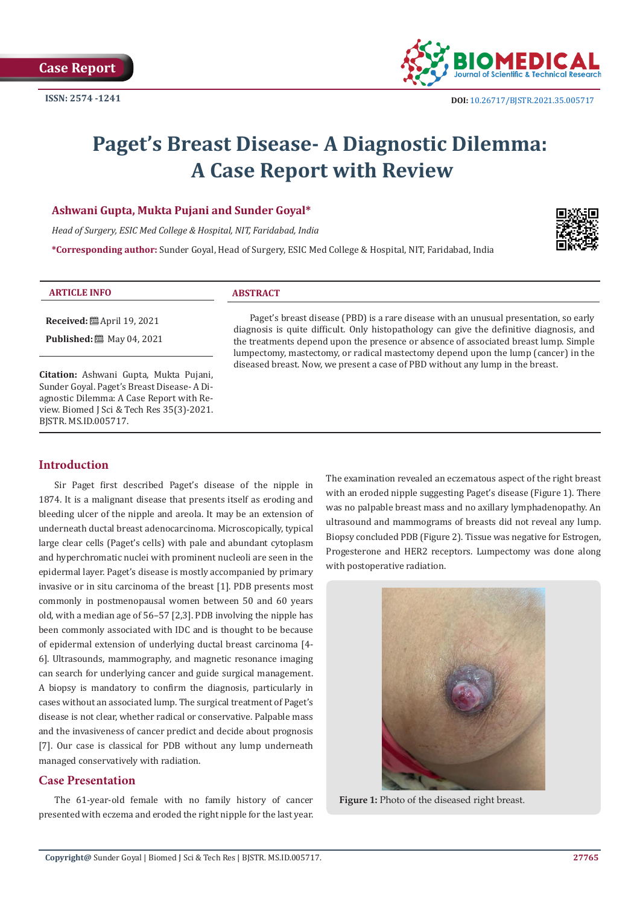

# **Paget's Breast Disease- A Diagnostic Dilemma: A Case Report with Review**

## **Ashwani Gupta, Mukta Pujani and Sunder Goyal\***

*Head of Surgery, ESIC Med College & Hospital, NIT, Faridabad, India*

**\*Corresponding author:** Sunder Goyal, Head of Surgery, ESIC Med College & Hospital, NIT, Faridabad, India



#### **ARTICLE INFO ABSTRACT**

**Received:** April 19, 2021

**Published:** 圖 May 04, 2021

**Citation:** Ashwani Gupta, Mukta Pujani, Sunder Goyal. Paget's Breast Disease- A Diagnostic Dilemma: A Case Report with Review. Biomed J Sci & Tech Res 35(3)-2021. BJSTR. MS.ID.005717.

Paget's breast disease (PBD) is a rare disease with an unusual presentation, so early diagnosis is quite difficult. Only histopathology can give the definitive diagnosis, and the treatments depend upon the presence or absence of associated breast lump. Simple lumpectomy, mastectomy, or radical mastectomy depend upon the lump (cancer) in the diseased breast. Now, we present a case of PBD without any lump in the breast.

# **Introduction**

Sir Paget first described Paget's disease of the nipple in 1874. It is a malignant disease that presents itself as eroding and bleeding ulcer of the nipple and areola. It may be an extension of underneath ductal breast adenocarcinoma. Microscopically, typical large clear cells (Paget's cells) with pale and abundant cytoplasm and hyperchromatic nuclei with prominent nucleoli are seen in the epidermal layer. Paget's disease is mostly accompanied by primary invasive or in situ carcinoma of the breast [1]. PDB presents most commonly in postmenopausal women between 50 and 60 years old, with a median age of 56–57 [2,3]. PDB involving the nipple has been commonly associated with IDC and is thought to be because of epidermal extension of underlying ductal breast carcinoma [4- 6]. Ultrasounds, mammography, and magnetic resonance imaging can search for underlying cancer and guide surgical management. A biopsy is mandatory to confirm the diagnosis, particularly in cases without an associated lump. The surgical treatment of Paget's disease is not clear, whether radical or conservative. Palpable mass and the invasiveness of cancer predict and decide about prognosis [7]. Our case is classical for PDB without any lump underneath managed conservatively with radiation.

# **Case Presentation**

The 61-year-old female with no family history of cancer presented with eczema and eroded the right nipple for the last year. The examination revealed an eczematous aspect of the right breast with an eroded nipple suggesting Paget's disease (Figure 1). There was no palpable breast mass and no axillary lymphadenopathy. An ultrasound and mammograms of breasts did not reveal any lump. Biopsy concluded PDB (Figure 2). Tissue was negative for Estrogen, Progesterone and HER2 receptors. Lumpectomy was done along with postoperative radiation.



**Figure 1:** Photo of the diseased right breast.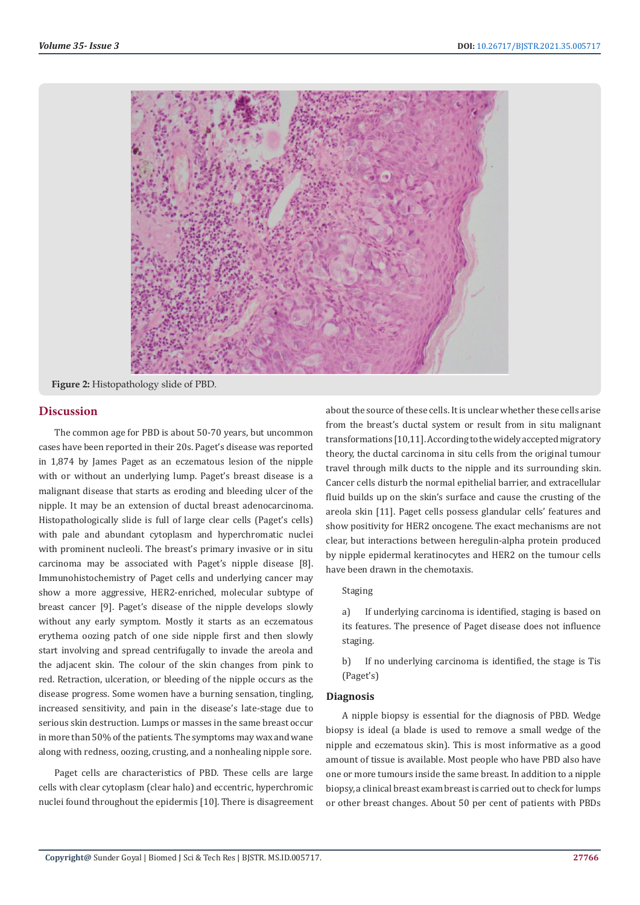

**Figure 2:** Histopathology slide of PBD.

## **Discussion**

The common age for PBD is about 50-70 years, but uncommon cases have been reported in their 20s. Paget's disease was reported in 1,874 by James Paget as an eczematous lesion of the nipple with or without an underlying lump. Paget's breast disease is a malignant disease that starts as eroding and bleeding ulcer of the nipple. It may be an extension of ductal breast adenocarcinoma. Histopathologically slide is full of large clear cells (Paget's cells) with pale and abundant cytoplasm and hyperchromatic nuclei with prominent nucleoli. The breast's primary invasive or in situ carcinoma may be associated with Paget's nipple disease [8]. Immunohistochemistry of Paget cells and underlying cancer may show a more aggressive, HER2-enriched, molecular subtype of breast cancer [9]. Paget's disease of the nipple develops slowly without any early symptom. Mostly it starts as an eczematous erythema oozing patch of one side nipple first and then slowly start involving and spread centrifugally to invade the areola and the adjacent skin. The colour of the skin changes from pink to red. Retraction, ulceration, or bleeding of the nipple occurs as the disease progress. Some women have a burning sensation, tingling, increased sensitivity, and pain in the disease's late-stage due to serious skin destruction. Lumps or masses in the same breast occur in more than 50% of the patients. The symptoms may wax and wane along with redness, oozing, crusting, and a nonhealing nipple sore.

Paget cells are characteristics of PBD. These cells are large cells with clear cytoplasm (clear halo) and eccentric, hyperchromic nuclei found throughout the epidermis [10]. There is disagreement about the source of these cells. It is unclear whether these cells arise from the breast's ductal system or result from in situ malignant transformations [10,11]. According to the widely accepted migratory theory, the ductal carcinoma in situ cells from the original tumour travel through milk ducts to the nipple and its surrounding skin. Cancer cells disturb the normal epithelial barrier, and extracellular fluid builds up on the skin's surface and cause the crusting of the areola skin [11]. Paget cells possess glandular cells' features and show positivity for HER2 oncogene. The exact mechanisms are not clear, but interactions between heregulin-alpha protein produced by nipple epidermal keratinocytes and HER2 on the tumour cells have been drawn in the chemotaxis.

## Staging

a) If underlying carcinoma is identified, staging is based on its features. The presence of Paget disease does not influence staging.

b) If no underlying carcinoma is identified, the stage is Tis (Paget's)

## **Diagnosis**

A nipple biopsy is essential for the diagnosis of PBD. Wedge biopsy is ideal (a blade is used to remove a small wedge of the nipple and eczematous skin). This is most informative as a good amount of tissue is available. Most people who have PBD also have one or more tumours inside the same breast. In addition to a nipple biopsy, a clinical breast exam breast is carried out to check for lumps or other breast changes. About 50 per cent of patients with PBDs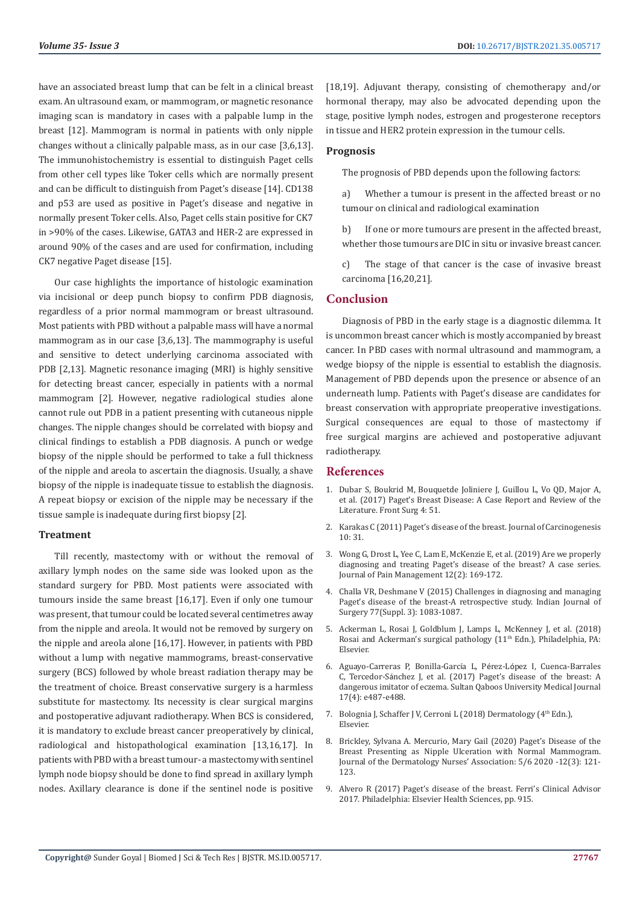have an associated breast lump that can be felt in a clinical breast exam. An ultrasound exam, or mammogram, or magnetic resonance imaging scan is mandatory in cases with a palpable lump in the breast [12]. Mammogram is normal in patients with only nipple changes without a clinically palpable mass, as in our case [3,6,13]. The immunohistochemistry is essential to distinguish Paget cells from other cell types like Toker cells which are normally present and can be difficult to distinguish from Paget's disease [14]. CD138 and p53 are used as positive in Paget's disease and negative in normally present Toker cells. Also, Paget cells stain positive for CK7 in >90% of the cases. Likewise, GATA3 and HER-2 are expressed in around 90% of the cases and are used for confirmation, including CK7 negative Paget disease [15].

Our case highlights the importance of histologic examination via incisional or deep punch biopsy to confirm PDB diagnosis, regardless of a prior normal mammogram or breast ultrasound. Most patients with PBD without a palpable mass will have a normal mammogram as in our case [3,6,13]. The mammography is useful and sensitive to detect underlying carcinoma associated with PDB [2,13]. Magnetic resonance imaging (MRI) is highly sensitive for detecting breast cancer, especially in patients with a normal mammogram [2]. However, negative radiological studies alone cannot rule out PDB in a patient presenting with cutaneous nipple changes. The nipple changes should be correlated with biopsy and clinical findings to establish a PDB diagnosis. A punch or wedge biopsy of the nipple should be performed to take a full thickness of the nipple and areola to ascertain the diagnosis. Usually, a shave biopsy of the nipple is inadequate tissue to establish the diagnosis. A repeat biopsy or excision of the nipple may be necessary if the tissue sample is inadequate during first biopsy [2].

#### **Treatment**

Till recently, mastectomy with or without the removal of axillary lymph nodes on the same side was looked upon as the standard surgery for PBD. Most patients were associated with tumours inside the same breast [16,17]. Even if only one tumour was present, that tumour could be located several centimetres away from the nipple and areola. It would not be removed by surgery on the nipple and areola alone [16,17]. However, in patients with PBD without a lump with negative mammograms, breast-conservative surgery (BCS) followed by whole breast radiation therapy may be the treatment of choice. Breast conservative surgery is a harmless substitute for mastectomy. Its necessity is clear surgical margins and postoperative adjuvant radiotherapy. When BCS is considered, it is mandatory to exclude breast cancer preoperatively by clinical, radiological and histopathological examination [13,16,17]. In patients with PBD with a breast tumour- a mastectomy with sentinel lymph node biopsy should be done to find spread in axillary lymph nodes. Axillary clearance is done if the sentinel node is positive [18,19]. Adjuvant therapy, consisting of chemotherapy and/or hormonal therapy, may also be advocated depending upon the stage, positive lymph nodes, estrogen and progesterone receptors in tissue and HER2 protein expression in the tumour cells.

#### **Prognosis**

The prognosis of PBD depends upon the following factors:

a) Whether a tumour is present in the affected breast or no tumour on clinical and radiological examination

b) If one or more tumours are present in the affected breast, whether those tumours are DIC in situ or invasive breast cancer.

c) The stage of that cancer is the case of invasive breast carcinoma [16,20,21].

#### **Conclusion**

Diagnosis of PBD in the early stage is a diagnostic dilemma. It is uncommon breast cancer which is mostly accompanied by breast cancer. In PBD cases with normal ultrasound and mammogram, a wedge biopsy of the nipple is essential to establish the diagnosis. Management of PBD depends upon the presence or absence of an underneath lump. Patients with Paget's disease are candidates for breast conservation with appropriate preoperative investigations. Surgical consequences are equal to those of mastectomy if free surgical margins are achieved and postoperative adjuvant radiotherapy.

## **References**

- 1. [Dubar S, Boukrid M, Bouquetde Joliniere J, Guillou L, Vo QD, Major A,](https://pubmed.ncbi.nlm.nih.gov/29109950/) [et al. \(2017\) Paget's Breast Disease: A Case Report and Review of the](https://pubmed.ncbi.nlm.nih.gov/29109950/) [Literature. Front Surg 4: 51.](https://pubmed.ncbi.nlm.nih.gov/29109950/)
- 2. [Karakas C \(2011\) Paget's disease of the breast. Journal of Carcinogenesis](https://www.ncbi.nlm.nih.gov/pmc/articles/PMC3263015/) [10: 31.](https://www.ncbi.nlm.nih.gov/pmc/articles/PMC3263015/)
- 3. [Wong G, Drost L, Yee C, Lam E, McKenzie E, et al. \(2019\) Are we properly](https://search.proquest.com/openview/46eb804a06c2f72c7a0dbf8b05d46e3f/1?pq-origsite=gscholar&cbl=2034829) [diagnosing and treating Paget's disease of the breast? A case series.](https://search.proquest.com/openview/46eb804a06c2f72c7a0dbf8b05d46e3f/1?pq-origsite=gscholar&cbl=2034829) [Journal of Pain Management 12\(2\): 169-172.](https://search.proquest.com/openview/46eb804a06c2f72c7a0dbf8b05d46e3f/1?pq-origsite=gscholar&cbl=2034829)
- 4. [Challa VR, Deshmane V \(2015\) Challenges in diagnosing and managing](https://pubmed.ncbi.nlm.nih.gov/27011515/) [Paget's disease of the breast-A retrospective study. Indian Journal of](https://pubmed.ncbi.nlm.nih.gov/27011515/) [Surgery 77\(Suppl. 3\): 1083-1087.](https://pubmed.ncbi.nlm.nih.gov/27011515/)
- 5. [Ackerman L, Rosai J, Goldblum J, Lamps L, McKenney J, et al. \(2018\)](https://www.elsevier.com/books/rosai-and-ackermans-surgical-pathology-2-volume-set/goldblum/978-0-323-26339-9) [Rosai and Ackerman's surgical pathology \(11](https://www.elsevier.com/books/rosai-and-ackermans-surgical-pathology-2-volume-set/goldblum/978-0-323-26339-9)th Edn.), Philadelphia, PA: [Elsevier.](https://www.elsevier.com/books/rosai-and-ackermans-surgical-pathology-2-volume-set/goldblum/978-0-323-26339-9)
- 6. [Aguayo-Carreras P, Bonilla-Garc](https://pubmed.ncbi.nlm.nih.gov/29372097/)ía L, Pérez-López I, Cuenca-Barrales C, Tercedor-Sá[nchez J, et al. \(2017\) Paget's disease of the breast: A](https://pubmed.ncbi.nlm.nih.gov/29372097/) [dangerous imitator of eczema. Sultan Qaboos University Medical Journal](https://pubmed.ncbi.nlm.nih.gov/29372097/) [17\(4\): e487-e488.](https://pubmed.ncbi.nlm.nih.gov/29372097/)
- 7. [Bolognia J, Schaffer J V, Cerroni L \(2018\) Dermatology \(](https://www.elsevier.com/books/pediatric-dermatology/schachner/978-0-7234-3540-2)4<sup>th</sup> Edn.), [Elsevier.](https://www.elsevier.com/books/pediatric-dermatology/schachner/978-0-7234-3540-2)
- 8. [Brickley, Sylvana A. Mercurio, Mary Gail \(2020\) Paget's Disease of the](https://insights.ovid.com/dermatology-nurses-association/jdna/2020/05/000/paget-disease-breast-presenting-nipple-ulceration/4/01412499) [Breast Presenting as Nipple Ulceration with Normal Mammogram.](https://insights.ovid.com/dermatology-nurses-association/jdna/2020/05/000/paget-disease-breast-presenting-nipple-ulceration/4/01412499) [Journal of the Dermatology Nurses' Association: 5/6 2020 -12\(3\): 121-](https://insights.ovid.com/dermatology-nurses-association/jdna/2020/05/000/paget-disease-breast-presenting-nipple-ulceration/4/01412499) [123.](https://insights.ovid.com/dermatology-nurses-association/jdna/2020/05/000/paget-disease-breast-presenting-nipple-ulceration/4/01412499)
- 9. Alvero R (2017) Paget's disease of the breast. Ferri's Clinical Advisor 2017. Philadelphia: Elsevier Health Sciences, pp. 915.